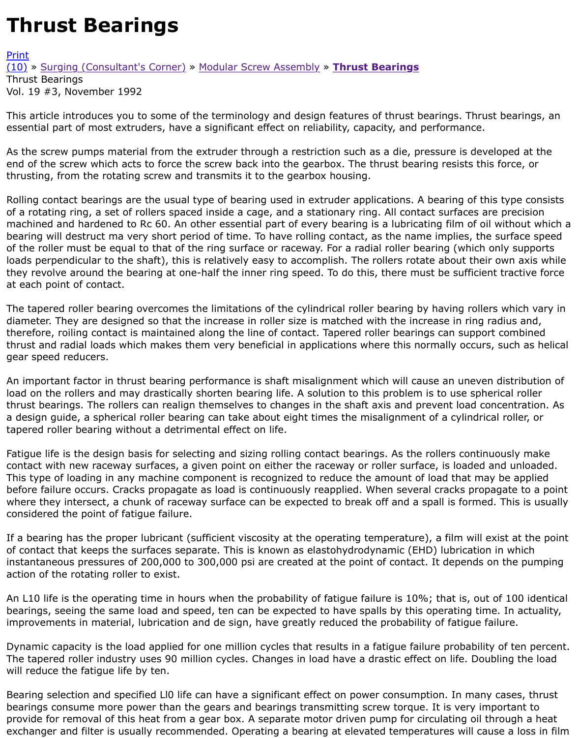This article introduces you to some of the terminology and design features of thrust bearings. Thrus essential part of most extruders, have a significant effect on reliability, capacity, and performance.

[As th](http://extrusionwiki.com/wiki/Print.aspx?Page=CC-V19-3-H)e screw pumps material from the extruder through a restriction such as a die, pressure is deve [end](http://extrusionwiki.com/wiki/CC-V19-3-H.ashx#) of [the screw which acts to force t](http://extrusionwiki.com/wiki/CC-V19-3-F.ashx)h[e screw back into the gear](http://extrusionwiki.com/wiki/CC-V19-3-G.ashx)b[ox. The thrust bea](http://extrusionwiki.com/wiki/CC-V19-3-H.ashx)ring resists this thrusting, from the rotating screw and transmits it to the gearbox housing.

Rolling contact bearings are the usual type of bearing used in extruder applications. A bearing of thi of a rotating ring, a set of rollers spaced inside a cage, and a stationary ring. All contact surfaces ar machined and hardened to Rc 60. An other essential part of every bearing is a lubricating film of oil bearing will destruct ma very short period of time. To have rolling contact, as the name implies, the of the roller must be equal to that of the ring surface or raceway. For a radial roller bearing (which on loads perpendicular to the shaft), this is relatively easy to accomplish. The rollers rotate about their they revolve around the bearing at one-half the inner ring speed. To do this, there must be sufficien at each point of contact.

The tapered roller bearing overcomes the limitations of the cylindrical roller bearing by having roller diameter. They are designed so that the increase in roller size is matched with the increase in ring r therefore, roiling contact is maintained along the line of contact. Tapered roller bearings can suppor thrust and radial loads which makes them very beneficial in applications where this normally occurs gear speed reducers.

An important factor in thrust bearing performance is shaft misalignment which will cause an unever load on the rollers and may drastically shorten bearing life. A solution to this problem is to use sphe thrust bearings. The rollers can realign themselves to changes in the shaft axis and prevent load co a design guide, a spherical roller bearing can take about eight times the misalignment of a cylindric tapered roller bearing without a detrimental effect on life.

Fatigue life is the design basis for selecting and sizing rolling contact bearings. As the rollers continu contact with new raceway surfaces, a given point on either the raceway or roller surface, is loaded and unloaded This type of loading in any machine component is recognized to reduce the amount of load that may before failure occurs. Cracks propagate as load is continuously reapplied. When several cracks propa where they intersect, a chunk of raceway surface can be expected to break off and a spall is formed considered the point of fatigue failure.

If a bearing has the proper lubricant (sufficient viscosity at the operating temperature), a film will e of contact that keeps the surfaces separate. This is known as elastohydrodynamic (EHD) lubrication instantaneous pressures of 200,000 to 300,000 psi are created at the point of contact. It depends o action of the rotating roller to exist.

An L10 life is the operating time in hours when the probability of fatigue failure is 10%; that is, out bearings, seeing the same load and speed, ten can be expected to have spalls by this operating tim improvements in material, lubrication and de sign, have greatly reduced the probability of fatigue fa

Dynamic capacity is the load applied for one million cycles that results in a fatigue failure probability The tapered roller industry uses 90 million cycles. Changes in load have a drastic effect on life. Dou will reduce the fatigue life by ten.

Bearing selection and specified LI0 life can have a significant effect on power consumption. In many bearings consume more power than the gears and bearings transmitting screw torque. It is very im provide for removal of this heat from a gear box. A separate motor driven pump for circulating oil th exchanger and filter is usually recommended. Operating a bearing at elevated temperatures will cau